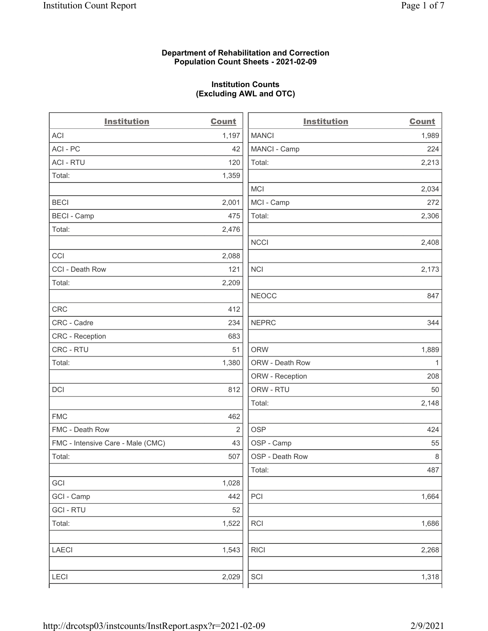## Department of Rehabilitation and Correction Population Count Sheets - 2021-02-09

## Institution Counts (Excluding AWL and OTC)

. .

| <b>Institution</b>                | <b>Count</b>   | <b>Institution</b> | <b>Count</b> |
|-----------------------------------|----------------|--------------------|--------------|
| <b>ACI</b>                        | 1,197          | <b>MANCI</b>       | 1,989        |
| ACI-PC                            | 42             | MANCI - Camp       | 224          |
| <b>ACI - RTU</b>                  | 120            | Total:             | 2,213        |
| Total:                            | 1,359          |                    |              |
|                                   |                | MCI                | 2,034        |
| <b>BECI</b>                       | 2,001          | MCI - Camp         | 272          |
| <b>BECI - Camp</b>                | 475            | Total:             | 2,306        |
| Total:                            | 2,476          |                    |              |
|                                   |                | <b>NCCI</b>        | 2,408        |
| CCI                               | 2,088          |                    |              |
| CCI - Death Row                   | 121            | <b>NCI</b>         | 2,173        |
| Total:                            | 2,209          |                    |              |
|                                   |                | <b>NEOCC</b>       | 847          |
| <b>CRC</b>                        | 412            |                    |              |
| CRC - Cadre                       | 234            | <b>NEPRC</b>       | 344          |
| <b>CRC</b> - Reception            | 683            |                    |              |
| CRC - RTU                         | 51             | <b>ORW</b>         | 1,889        |
| Total:                            | 1,380          | ORW - Death Row    | $\mathbf{1}$ |
|                                   |                | ORW - Reception    | 208          |
| DCI                               | 812            | ORW - RTU          | 50           |
|                                   |                | Total:             | 2,148        |
| <b>FMC</b>                        | 462            |                    |              |
| FMC - Death Row                   | $\overline{2}$ | <b>OSP</b>         | 424          |
| FMC - Intensive Care - Male (CMC) | 43             | OSP - Camp         | 55           |
| Total:                            | 507            | OSP - Death Row    | 8            |
|                                   |                | Total:             | 487          |
| GCI                               | 1,028          |                    |              |
| GCI - Camp                        | 442            | PCI                | 1,664        |
| <b>GCI-RTU</b>                    | 52             |                    |              |
| Total:                            | 1,522          | RCI                | 1,686        |
| <b>LAECI</b>                      | 1,543          | <b>RICI</b>        | 2,268        |
| <b>LECI</b>                       | 2,029          | SCI                | 1,318        |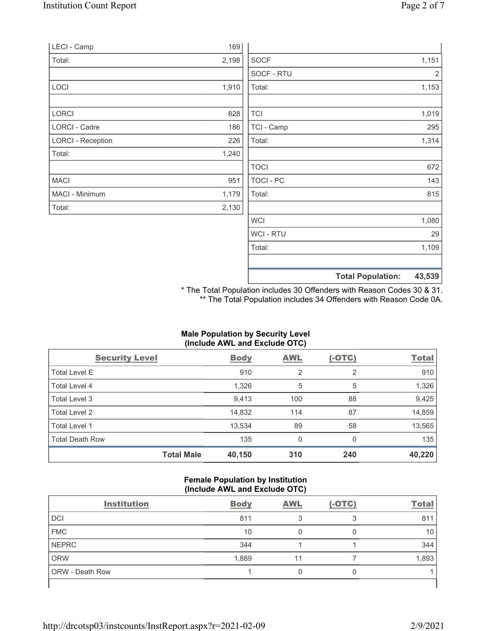| 2,130<br>1,080<br><b>WCI</b><br>WCI - RTU<br>29<br>Total:<br>1,109 |
|--------------------------------------------------------------------|
|                                                                    |
|                                                                    |
|                                                                    |
|                                                                    |
|                                                                    |
| 1,179<br>Total:<br>815                                             |
| TOCI - PC<br>143<br>951                                            |
| <b>TOCI</b><br>672                                                 |
| 1,240                                                              |
| Total:<br>1,314<br>226                                             |
| TCI - Camp<br>295<br>186                                           |
| <b>TCI</b><br>1,019<br>828                                         |
| Total:<br>1,153<br>1,910                                           |
| SOCF - RTU<br>2                                                    |
| 2,198<br><b>SOCF</b><br>1,151                                      |
| 169                                                                |
|                                                                    |

\* The Total Population includes 30 Offenders with Reason Codes 30 & 31. \*\* The Total Population includes 34 Offenders with Reason Code 0A.

## Male Population by Security Level (Include AWL and Exclude OTC)

| <b>Security Level</b>  |                   | <b>Body</b> | <b>AWL</b> | $(-OTC)$ | <b>Total</b> |
|------------------------|-------------------|-------------|------------|----------|--------------|
| <b>Total Level E</b>   |                   | 910         | 2          | 2        | 910          |
| Total Level 4          |                   | 1,326       | 5          | 5        | 1,326        |
| Total Level 3          |                   | 9,413       | 100        | 88       | 9,425        |
| Total Level 2          |                   | 14,832      | 114        | 87       | 14,859       |
| Total Level 1          |                   | 13,534      | 89         | 58       | 13,565       |
| <b>Total Death Row</b> |                   | 135         | 0          | $\Omega$ | 135          |
|                        | <b>Total Male</b> | 40,150      | 310        | 240      | 40,220       |

#### Female Population by Institution (Include AWL and Exclude OTC)

| <b>Institution</b>     | <b>Body</b> | <b>AWL</b> | $(-OTC)$ | <b>Total</b> |
|------------------------|-------------|------------|----------|--------------|
| <b>DCI</b>             | 811         |            |          | 811          |
| <b>FMC</b>             | 10          |            |          | 10           |
| <b>NEPRC</b>           | 344         |            |          | 344          |
| <b>ORW</b>             | 1,889       |            |          | 1,893        |
| <b>ORW</b> - Death Row |             |            |          |              |
|                        |             |            |          |              |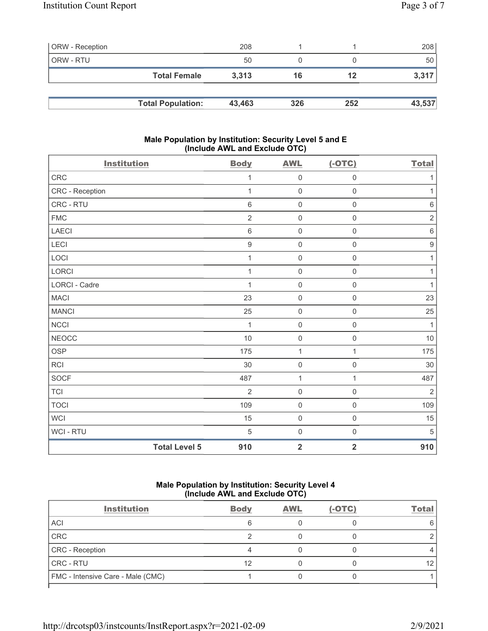| <b>ORW</b> - Reception |                          | 208    |     |     | 208    |
|------------------------|--------------------------|--------|-----|-----|--------|
| ORW - RTU              |                          | 50     |     |     | 50     |
|                        | <b>Total Female</b>      | 3.313  | 16  | 12  | 3,317  |
|                        |                          |        |     |     |        |
|                        | <b>Total Population:</b> | 43,463 | 326 | 252 | 43,537 |

## Male Population by Institution: Security Level 5 and E (Include AWL and Exclude OTC)

| <b>Institution</b> |                      | <b>Body</b>      | <b>AWL</b>              | $(-OTC)$                | <b>Total</b>     |
|--------------------|----------------------|------------------|-------------------------|-------------------------|------------------|
| CRC                |                      | 1                | $\mathsf{O}\xspace$     | $\mathsf{O}\xspace$     | 1                |
| CRC - Reception    |                      | 1                | $\mathbf 0$             | $\mathbf 0$             | 1                |
| CRC - RTU          |                      | $\,6\,$          | $\mathsf{O}\xspace$     | $\mathsf{O}\xspace$     | $\,6\,$          |
| ${\sf FMC}$        |                      | $\overline{2}$   | $\mathsf{O}\xspace$     | $\mathsf 0$             | $\sqrt{2}$       |
| LAECI              |                      | $\,6\,$          | $\mathbf 0$             | $\mathbf 0$             | $\,6\,$          |
| LECI               |                      | $\boldsymbol{9}$ | $\mathsf 0$             | $\mathsf{O}\xspace$     | $\boldsymbol{9}$ |
| LOCI               |                      | 1                | $\mathbf 0$             | $\mathsf{O}\xspace$     | $\mathbf{1}$     |
| LORCI              |                      | 1                | $\mathbf 0$             | $\mathbf 0$             | 1                |
| LORCI - Cadre      |                      | 1                | $\mathsf{O}\xspace$     | $\mathsf{O}\xspace$     | $\mathbf{1}$     |
| <b>MACI</b>        |                      | 23               | $\mathsf{O}\xspace$     | $\mathsf{O}\xspace$     | 23               |
| <b>MANCI</b>       |                      | 25               | $\mathbf 0$             | $\mathbf 0$             | 25               |
| <b>NCCI</b>        |                      | $\mathbf{1}$     | $\mathbf 0$             | $\mathsf{O}\xspace$     | $\mathbf{1}$     |
| <b>NEOCC</b>       |                      | 10               | $\mathbf 0$             | $\mathsf{O}\xspace$     | $10$             |
| OSP                |                      | 175              | $\mathbf{1}$            | 1                       | 175              |
| <b>RCI</b>         |                      | 30               | $\mathbf 0$             | $\mathsf{O}\xspace$     | $30\,$           |
| SOCF               |                      | 487              | $\mathbf{1}$            | $\mathbf{1}$            | 487              |
| <b>TCI</b>         |                      | $\overline{2}$   | $\mathbf 0$             | $\mathbf 0$             | $\overline{2}$   |
| <b>TOCI</b>        |                      | 109              | $\mathbf 0$             | $\mathbf 0$             | 109              |
| <b>WCI</b>         |                      | 15               | $\mathsf{O}\xspace$     | $\mathsf{O}\xspace$     | 15               |
| WCI - RTU          |                      | $\,$ 5 $\,$      | $\mathbf 0$             | $\mathsf{O}\xspace$     | $\sqrt{5}$       |
|                    | <b>Total Level 5</b> | 910              | $\overline{\mathbf{2}}$ | $\overline{\mathbf{2}}$ | 910              |

# Male Population by Institution: Security Level 4 (Include AWL and Exclude OTC)

| <b>Institution</b>                | <b>Body</b> | <b>AWL</b> | $(-OTC)$ | <b>Total</b> |
|-----------------------------------|-------------|------------|----------|--------------|
| <b>ACI</b>                        |             |            |          |              |
| CRC                               |             |            |          |              |
| CRC - Reception                   |             |            |          |              |
| <b>CRC - RTU</b>                  | 12          |            |          |              |
| FMC - Intensive Care - Male (CMC) |             |            |          |              |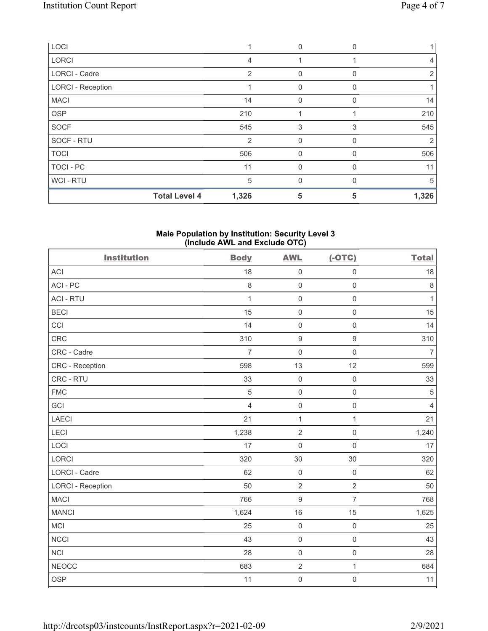| LOCI                     |                      |                | $\Omega$    | $\Omega$ |                |
|--------------------------|----------------------|----------------|-------------|----------|----------------|
| <b>LORCI</b>             |                      | 4              |             |          | $\overline{4}$ |
| LORCI - Cadre            |                      | 2              | 0           | $\Omega$ | 2              |
| <b>LORCI - Reception</b> |                      |                | $\Omega$    | 0        |                |
| <b>MACI</b>              |                      | 14             | $\Omega$    | 0        | 14             |
| <b>OSP</b>               |                      | 210            |             |          | 210            |
| <b>SOCF</b>              |                      | 545            | 3           | 3        | 545            |
| SOCF - RTU               |                      | $\overline{2}$ | 0           | 0        | 2              |
| <b>TOCI</b>              |                      | 506            | $\mathbf 0$ | 0        | 506            |
| TOCI - PC                |                      | 11             | $\mathbf 0$ | 0        | 11             |
| WCI - RTU                |                      | 5              | $\Omega$    | 0        | 5              |
|                          | <b>Total Level 4</b> | 1,326          | 5           | 5        | 1,326          |

#### Male Population by Institution: Security Level 3 (Include AWL and Exclude OTC)

| <b>Institution</b>       | <b>Body</b>    | <b>AWL</b>       | $(-OTC)$            | <b>Total</b>   |
|--------------------------|----------------|------------------|---------------------|----------------|
| <b>ACI</b>               | 18             | $\mathbf 0$      | $\mathsf 0$         | 18             |
| ACI-PC                   | $\,8\,$        | $\mathsf 0$      | $\mathsf 0$         | $\,8\,$        |
| <b>ACI - RTU</b>         | 1              | $\mathbf 0$      | $\mathsf{O}\xspace$ | $\mathbf{1}$   |
| <b>BECI</b>              | 15             | $\mathbf 0$      | $\mathsf 0$         | 15             |
| CCI                      | 14             | $\mathbf 0$      | $\mathsf 0$         | 14             |
| CRC                      | 310            | $\boldsymbol{9}$ | $\boldsymbol{9}$    | 310            |
| CRC - Cadre              | $\overline{7}$ | $\mathbf 0$      | $\mathsf{O}\xspace$ | $\overline{7}$ |
| CRC - Reception          | 598            | 13               | 12                  | 599            |
| CRC - RTU                | 33             | $\mathbf 0$      | $\mathsf 0$         | 33             |
| <b>FMC</b>               | 5              | $\mathbf 0$      | $\mathsf{O}\xspace$ | $\sqrt{5}$     |
| GCI                      | $\overline{4}$ | $\mathbf 0$      | $\mathsf{O}\xspace$ | $\overline{4}$ |
| <b>LAECI</b>             | 21             | $\mathbf{1}$     | $\mathbf{1}$        | 21             |
| LECI                     | 1,238          | $\sqrt{2}$       | $\mathsf{O}\xspace$ | 1,240          |
| LOCI                     | 17             | $\mathbf 0$      | $\mathsf{O}\xspace$ | 17             |
| LORCI                    | 320            | 30               | 30                  | 320            |
| LORCI - Cadre            | 62             | $\mathbf 0$      | $\mathsf 0$         | 62             |
| <b>LORCI - Reception</b> | 50             | $\overline{2}$   | $\overline{2}$      | 50             |
| <b>MACI</b>              | 766            | $\boldsymbol{9}$ | $\overline{7}$      | 768            |
| <b>MANCI</b>             | 1,624          | 16               | 15                  | 1,625          |
| MCI                      | 25             | $\mathbf 0$      | $\mathsf{O}\xspace$ | 25             |
| <b>NCCI</b>              | 43             | $\mathbf 0$      | $\mathsf{O}\xspace$ | 43             |
| <b>NCI</b>               | 28             | $\mathbf 0$      | $\mathsf{O}\xspace$ | 28             |
| <b>NEOCC</b>             | 683            | $\sqrt{2}$       | $\mathbf{1}$        | 684            |
| <b>OSP</b>               | 11             | $\mathsf{O}$     | $\mathsf{O}\xspace$ | 11             |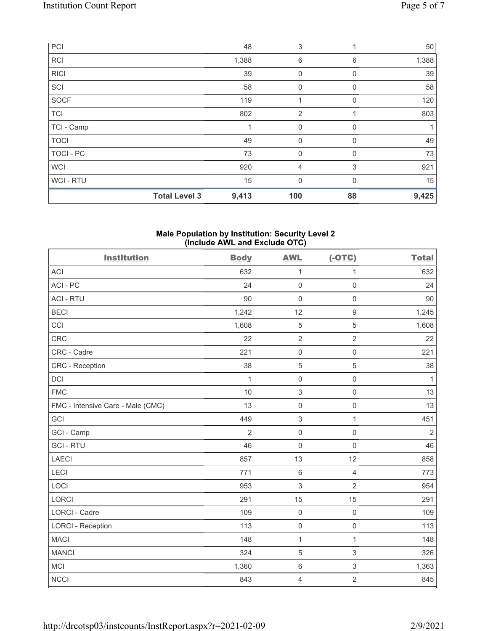|                  | <b>Total Level 3</b> | 9,413 | 100            | 88          | 9,425 |
|------------------|----------------------|-------|----------------|-------------|-------|
| WCI-RTU          |                      | 15    | $\mathbf{0}$   | $\Omega$    | 15    |
| <b>WCI</b>       |                      | 920   | $\overline{4}$ | 3           | 921   |
| <b>TOCI - PC</b> |                      | 73    | $\mathbf 0$    | 0           | 73    |
| <b>TOCI</b>      |                      | 49    | $\mathbf{0}$   | 0           | 49    |
| TCI - Camp       |                      |       | 0              | 0           |       |
| <b>TCI</b>       |                      | 802   | 2              |             | 803   |
| SOCF             |                      | 119   | 1              | $\Omega$    | 120   |
| SCI              |                      | 58    | $\mathbf 0$    | 0           | 58    |
| <b>RICI</b>      |                      | 39    | $\mathbf 0$    | $\mathbf 0$ | 39    |
| <b>RCI</b>       |                      | 1,388 | 6              | 6           | 1,388 |
| PCI              |                      | 48    | 3              |             | 50    |

#### Male Population by Institution: Security Level 2 (Include AWL and Exclude OTC)

| <b>Institution</b>                | <b>Body</b>    | <b>AWL</b>          | $(-OTC)$            | <b>Total</b> |
|-----------------------------------|----------------|---------------------|---------------------|--------------|
| <b>ACI</b>                        | 632            | 1                   | 1                   | 632          |
| ACI-PC                            | 24             | $\mathsf 0$         | $\mathsf{O}\xspace$ | 24           |
| <b>ACI - RTU</b>                  | 90             | $\mathbf 0$         | $\mathsf 0$         | 90           |
| <b>BECI</b>                       | 1,242          | 12                  | $\boldsymbol{9}$    | 1,245        |
| CCI                               | 1,608          | $\mathbf 5$         | 5                   | 1,608        |
| CRC                               | 22             | $\overline{2}$      | $\overline{2}$      | 22           |
| CRC - Cadre                       | 221            | $\mathbf 0$         | $\mathbf 0$         | 221          |
| CRC - Reception                   | 38             | $\sqrt{5}$          | 5                   | 38           |
| DCI                               | 1              | $\mathsf{O}\xspace$ | $\mathsf{O}\xspace$ | $\mathbf{1}$ |
| <b>FMC</b>                        | 10             | $\,$ 3 $\,$         | $\mathsf{O}\xspace$ | 13           |
| FMC - Intensive Care - Male (CMC) | 13             | $\mathsf{O}\xspace$ | $\mathsf{O}\xspace$ | 13           |
| <b>GCI</b>                        | 449            | $\sqrt{3}$          | $\mathbf{1}$        | 451          |
| GCI - Camp                        | $\overline{2}$ | $\mathsf 0$         | $\mathsf{O}\xspace$ | $\sqrt{2}$   |
| <b>GCI-RTU</b>                    | 46             | $\mathsf{O}\xspace$ | $\mathsf{O}\xspace$ | 46           |
| <b>LAECI</b>                      | 857            | 13                  | 12                  | 858          |
| LECI                              | 771            | $6\,$               | $\overline{4}$      | 773          |
| LOCI                              | 953            | $\,$ 3 $\,$         | $\overline{2}$      | 954          |
| LORCI                             | 291            | 15                  | 15                  | 291          |
| LORCI - Cadre                     | 109            | $\mathbf 0$         | $\mathsf{O}\xspace$ | 109          |
| <b>LORCI - Reception</b>          | 113            | $\mathsf{O}\xspace$ | $\mathsf{O}\xspace$ | 113          |
| <b>MACI</b>                       | 148            | $\mathbf{1}$        | $\mathbf{1}$        | 148          |
| <b>MANCI</b>                      | 324            | $\sqrt{5}$          | 3                   | 326          |
| <b>MCI</b>                        | 1,360          | $\,6$               | 3                   | 1,363        |
| <b>NCCI</b>                       | 843            | $\overline{4}$      | $\overline{2}$      | 845          |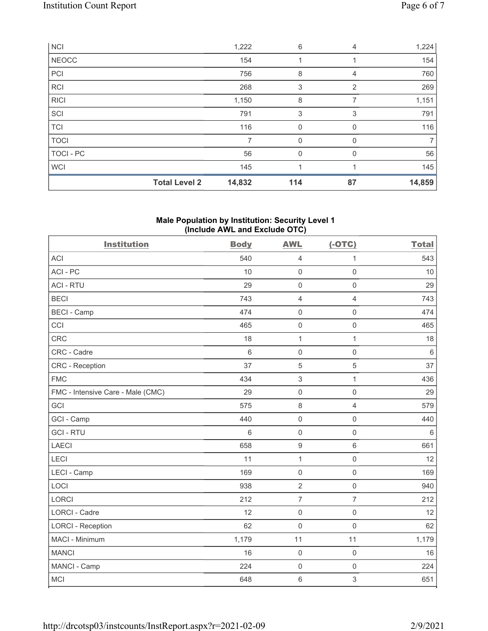| <b>NCI</b>   |                      | 1,222  | 6           | 4        | 1,224          |
|--------------|----------------------|--------|-------------|----------|----------------|
| <b>NEOCC</b> |                      | 154    |             |          | 154            |
| PCI          |                      | 756    | 8           | 4        | 760            |
| <b>RCI</b>   |                      | 268    | 3           | 2        | 269            |
| <b>RICI</b>  |                      | 1,150  | 8           | 7        | 1,151          |
| SCI          |                      | 791    | 3           | 3        | 791            |
| <b>TCI</b>   |                      | 116    | 0           | $\Omega$ | 116            |
| <b>TOCI</b>  |                      | 7      | $\mathbf 0$ | 0        | $\overline{7}$ |
| TOCI - PC    |                      | 56     | $\mathbf 0$ | $\Omega$ | 56             |
| <b>WCI</b>   |                      | 145    |             |          | 145            |
|              | <b>Total Level 2</b> | 14,832 | 114         | 87       | 14,859         |

# Male Population by Institution: Security Level 1 (Include AWL and Exclude OTC)

| <b>Institution</b>                | <b>Body</b>     | <b>AWL</b>          | $(-OTC)$            | <b>Total</b> |
|-----------------------------------|-----------------|---------------------|---------------------|--------------|
| <b>ACI</b>                        | 540             | $\overline{4}$      | 1                   | 543          |
| ACI-PC                            | 10              | $\mathsf{O}\xspace$ | $\mathsf 0$         | 10           |
| <b>ACI - RTU</b>                  | 29              | $\mathbf 0$         | $\mathsf 0$         | 29           |
| <b>BECI</b>                       | 743             | $\overline{4}$      | $\overline{4}$      | 743          |
| <b>BECI - Camp</b>                | 474             | $\mathsf{O}\xspace$ | $\mathsf 0$         | 474          |
| CCI                               | 465             | $\mathsf{O}\xspace$ | $\mathsf 0$         | 465          |
| CRC                               | 18              | $\mathbf{1}$        | $\mathbf{1}$        | 18           |
| CRC - Cadre                       | $6\phantom{1}6$ | $\mathbf 0$         | $\mathsf{O}\xspace$ | $\,6\,$      |
| CRC - Reception                   | 37              | $\sqrt{5}$          | 5                   | 37           |
| <b>FMC</b>                        | 434             | $\mathfrak{S}$      | $\mathbf{1}$        | 436          |
| FMC - Intensive Care - Male (CMC) | 29              | $\mathsf{O}\xspace$ | $\mathsf 0$         | 29           |
| GCI                               | 575             | $\,8\,$             | $\overline{4}$      | 579          |
| GCI - Camp                        | 440             | $\mathsf{O}\xspace$ | $\mathsf{O}\xspace$ | 440          |
| <b>GCI-RTU</b>                    | 6               | $\mathbf 0$         | $\mathbf 0$         | 6            |
| <b>LAECI</b>                      | 658             | $9$                 | $6\,$               | 661          |
| LECI                              | 11              | $\mathbf{1}$        | $\mathbf 0$         | 12           |
| LECI - Camp                       | 169             | $\mathbf 0$         | $\mathsf{O}\xspace$ | 169          |
| LOCI                              | 938             | $\overline{2}$      | $\mathsf{O}\xspace$ | 940          |
| <b>LORCI</b>                      | 212             | $\overline{7}$      | $\overline{7}$      | 212          |
| <b>LORCI - Cadre</b>              | 12              | $\mathsf{O}\xspace$ | $\mathsf 0$         | 12           |
| <b>LORCI - Reception</b>          | 62              | $\mathbf 0$         | $\mathsf{O}\xspace$ | 62           |
| MACI - Minimum                    | 1,179           | 11                  | 11                  | 1,179        |
| <b>MANCI</b>                      | 16              | $\mathbf 0$         | $\mathsf{O}\xspace$ | 16           |
| MANCI - Camp                      | 224             | $\mathbf 0$         | $\mathsf{O}\xspace$ | 224          |
| <b>MCI</b>                        | 648             | $\,6\,$             | $\sqrt{3}$          | 651          |